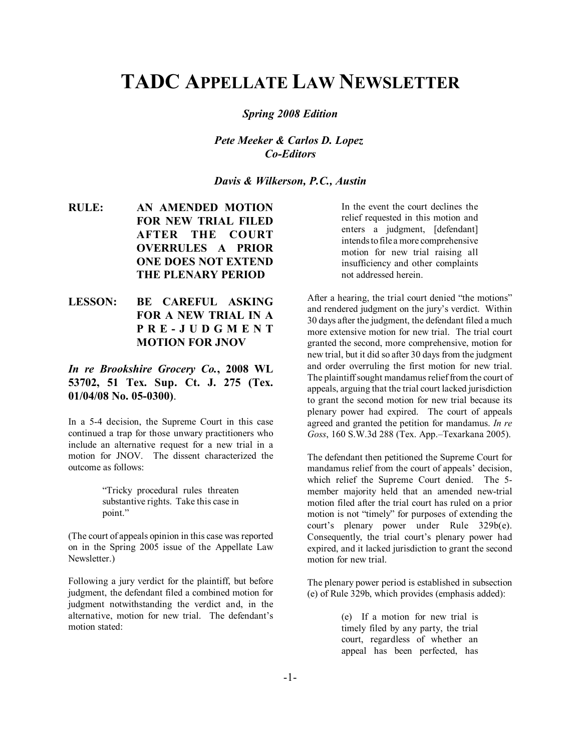# **TADC APPELLATE LAW NEWSLETTER**

*Spring 2008 Edition*

*Pete Meeker & Carlos D. Lopez Co-Editors*

*Davis & Wilkerson, P.C., Austin*

- **RULE: AN AMENDED MOTION FOR NEW TRIAL FILED AFTER THE COURT OVERRULES A PRIOR ONE DOES NOT EXTEND THE PLENARY PERIOD**
- **LESSON: BE CAREFUL ASKING FOR A NEW TRIAL IN A PRE-JUDGMENT MOTION FOR JNOV**

### *In re Brookshire Grocery Co.***, 2008 WL 53702, 51 Tex. Sup. Ct. J. 275 (Tex. 01/04/08 No. 05-0300)**.

In a 5-4 decision, the Supreme Court in this case continued a trap for those unwary practitioners who include an alternative request for a new trial in a motion for JNOV. The dissent characterized the outcome as follows:

> ìTricky procedural rules threaten substantive rights. Take this case in point."

(The court of appeals opinion in this case was reported on in the Spring 2005 issue of the Appellate Law Newsletter.)

Following a jury verdict for the plaintiff, but before judgment, the defendant filed a combined motion for judgment notwithstanding the verdict and, in the alternative, motion for new trial. The defendant's motion stated:

In the event the court declines the relief requested in this motion and enters a judgment, [defendant] intends to file a more comprehensive motion for new trial raising all insufficiency and other complaints not addressed herein.

After a hearing, the trial court denied "the motions" and rendered judgment on the jury's verdict. Within 30 days after the judgment, the defendant filed a much more extensive motion for new trial. The trial court granted the second, more comprehensive, motion for new trial, but it did so after 30 days from the judgment and order overruling the first motion for new trial. The plaintiff sought mandamus relief from the court of appeals, arguing that the trial court lacked jurisdiction to grant the second motion for new trial because its plenary power had expired. The court of appeals agreed and granted the petition for mandamus. *In re* Goss, 160 S.W.3d 288 (Tex. App.-Texarkana 2005).

The defendant then petitioned the Supreme Court for mandamus relief from the court of appeals' decision, which relief the Supreme Court denied. The 5 member majority held that an amended new-trial motion filed after the trial court has ruled on a prior motion is not "timely" for purposes of extending the  $court's$  plenary power under Rule  $329b(e)$ . Consequently, the trial court's plenary power had expired, and it lacked jurisdiction to grant the second motion for new trial.

The plenary power period is established in subsection (e) of Rule 329b, which provides (emphasis added):

> (e) If a motion for new trial is timely filed by any party, the trial court, regardless of whether an appeal has been perfected, has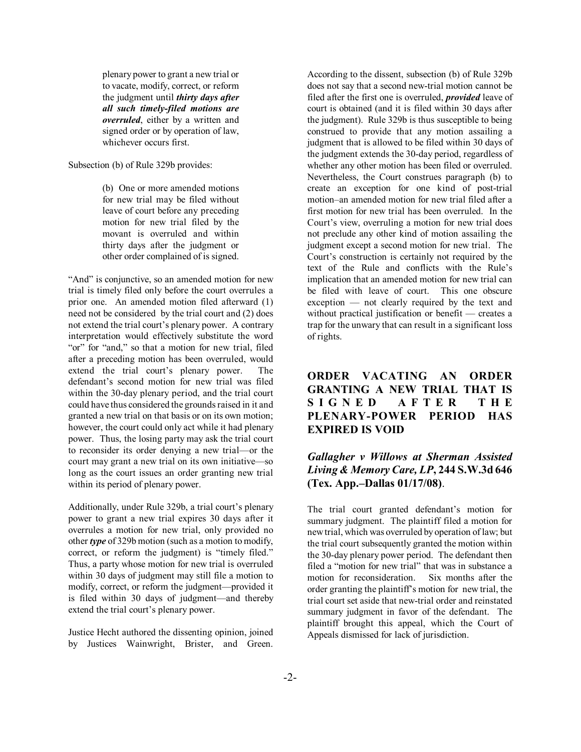plenary power to grant a new trial or to vacate, modify, correct, or reform the judgment until *thirty days after all such timely-filed motions are overruled*, either by a written and signed order or by operation of law, whichever occurs first.

Subsection (b) of Rule 329b provides:

(b) One or more amended motions for new trial may be filed without leave of court before any preceding motion for new trial filed by the movant is overruled and within thirty days after the judgment or other order complained of is signed.

"And" is conjunctive, so an amended motion for new trial is timely filed only before the court overrules a prior one. An amended motion filed afterward (1) need not be considered by the trial court and (2) does not extend the trial court's plenary power. A contrary interpretation would effectively substitute the word "or" for "and," so that a motion for new trial, filed after a preceding motion has been overruled, would extend the trial court's plenary power. The defendant's second motion for new trial was filed within the 30-day plenary period, and the trial court could have thus considered the grounds raised in it and granted a new trial on that basis or on its own motion; however, the court could only act while it had plenary power. Thus, the losing party may ask the trial court to reconsider its order denying a new trial—or the court may grant a new trial on its own initiative $\equiv$ so long as the court issues an order granting new trial within its period of plenary power.

Additionally, under Rule 329b, a trial court's plenary power to grant a new trial expires 30 days after it overrules a motion for new trial, only provided no other *type* of 329b motion (such as a motion to modify, correct, or reform the judgment) is "timely filed." Thus, a party whose motion for new trial is overruled within 30 days of judgment may still file a motion to modify, correct, or reform the judgment—provided it is filed within 30 days of judgment—and thereby extend the trial court's plenary power.

Justice Hecht authored the dissenting opinion, joined by Justices Wainwright, Brister, and Green.

According to the dissent, subsection (b) of Rule 329b does not say that a second new-trial motion cannot be filed after the first one is overruled, *provided* leave of court is obtained (and it is filed within 30 days after the judgment). Rule 329b is thus susceptible to being construed to provide that any motion assailing a judgment that is allowed to be filed within 30 days of the judgment extends the 30-day period, regardless of whether any other motion has been filed or overruled. Nevertheless, the Court construes paragraph (b) to create an exception for one kind of post-trial motion-an amended motion for new trial filed after a first motion for new trial has been overruled. In the Court's view, overruling a motion for new trial does not preclude any other kind of motion assailing the judgment except a second motion for new trial. The Court's construction is certainly not required by the text of the Rule and conflicts with the Rule's implication that an amended motion for new trial can be filed with leave of court. This one obscure  $exception$   $-$  not clearly required by the text and without practical justification or benefit  $-$  creates a trap for the unwary that can result in a significant loss of rights.

# **ORDER VACATING AN ORDER GRANTING A NEW TRIAL THAT IS SIGNED AFTER THE PLENARY-POWER PERIOD HAS EXPIRED IS VOID**

# *Gallagher v Willows at Sherman Assisted Living & Memory Care, LP***, 244 S.W.3d 646 (Tex. App.–Dallas 01/17/08).**

The trial court granted defendant's motion for summary judgment. The plaintiff filed a motion for new trial, which was overruled by operation of law; but the trial court subsequently granted the motion within the 30-day plenary power period. The defendant then filed a "motion for new trial" that was in substance a motion for reconsideration. Six months after the order granting the plaintiff's motion for new trial, the trial court set aside that new-trial order and reinstated summary judgment in favor of the defendant. The plaintiff brought this appeal, which the Court of Appeals dismissed for lack of jurisdiction.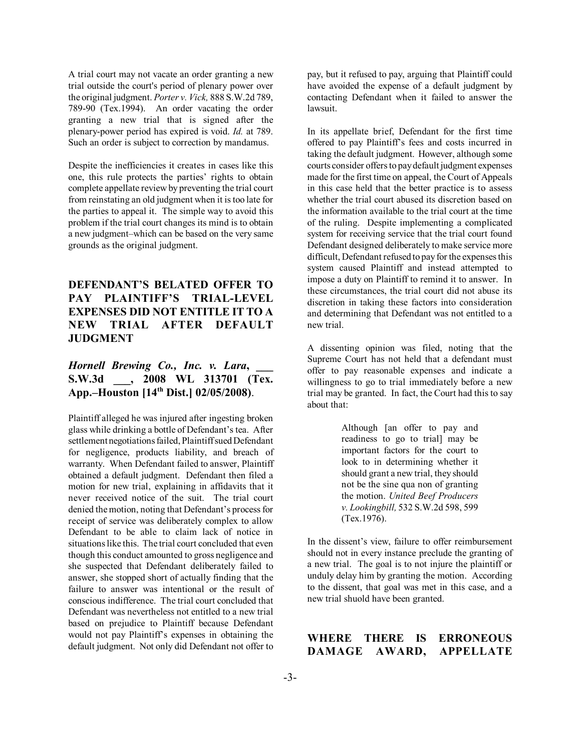A trial court may not vacate an order granting a new trial outside the court's period of plenary power over the original judgment. *Porter v. Vick,* 888 S.W.2d 789, 789-90 (Tex.1994). An order vacating the order granting a new trial that is signed after the plenary-power period has expired is void. *Id.* at 789. Such an order is subject to correction by mandamus.

Despite the inefficiencies it creates in cases like this one, this rule protects the parties' rights to obtain complete appellate review by preventing the trial court from reinstating an old judgment when it is too late for the parties to appeal it. The simple way to avoid this problem if the trial court changes its mind is to obtain a new judgment-which can be based on the very same grounds as the original judgment.

# **DEFENDANT'S BELATED OFFER TO** PAY PLAINTIFF'S TRIAL-LEVEL **EXPENSES DID NOT ENTITLE IT TO A NEW TRIAL AFTER DEFAULT JUDGMENT**

# *Hornell Brewing Co., Inc. v. Lara,* **S.W.3d \_\_\_, 2008 WL 313701 (Tex.** App.–Houston [14<sup>th</sup> Dist.] 02/05/2008).

Plaintiff alleged he was injured after ingesting broken glass while drinking a bottle of Defendant's tea. After settlement negotiations failed, Plaintiff sued Defendant for negligence, products liability, and breach of warranty. When Defendant failed to answer, Plaintiff obtained a default judgment. Defendant then filed a motion for new trial, explaining in affidavits that it never received notice of the suit. The trial court denied the motion, noting that Defendant's process for receipt of service was deliberately complex to allow Defendant to be able to claim lack of notice in situations like this. The trial court concluded that even though this conduct amounted to gross negligence and she suspected that Defendant deliberately failed to answer, she stopped short of actually finding that the failure to answer was intentional or the result of conscious indifference. The trial court concluded that Defendant was nevertheless not entitled to a new trial based on prejudice to Plaintiff because Defendant would not pay Plaintiff's expenses in obtaining the default judgment. Not only did Defendant not offer to

pay, but it refused to pay, arguing that Plaintiff could have avoided the expense of a default judgment by contacting Defendant when it failed to answer the lawsuit.

In its appellate brief, Defendant for the first time offered to pay Plaintiff's fees and costs incurred in taking the default judgment. However, although some courts consider offers to pay default judgment expenses made for the first time on appeal, the Court of Appeals in this case held that the better practice is to assess whether the trial court abused its discretion based on the information available to the trial court at the time of the ruling. Despite implementing a complicated system for receiving service that the trial court found Defendant designed deliberately to make service more difficult, Defendant refused to pay for the expenses this system caused Plaintiff and instead attempted to impose a duty on Plaintiff to remind it to answer. In these circumstances, the trial court did not abuse its discretion in taking these factors into consideration and determining that Defendant was not entitled to a new trial.

A dissenting opinion was filed, noting that the Supreme Court has not held that a defendant must offer to pay reasonable expenses and indicate a willingness to go to trial immediately before a new trial may be granted. In fact, the Court had this to say about that:

> Although [an offer to pay and readiness to go to trial] may be important factors for the court to look to in determining whether it should grant a new trial, they should not be the sine qua non of granting the motion. *United Beef Producers v. Lookingbill,* 532 S.W.2d 598, 599 (Tex.1976).

In the dissent's view, failure to offer reimbursement should not in every instance preclude the granting of a new trial. The goal is to not injure the plaintiff or unduly delay him by granting the motion. According to the dissent, that goal was met in this case, and a new trial shuold have been granted.

#### **WHERE THERE IS ERRONEOUS DAMAGE AWARD, APPELLATE**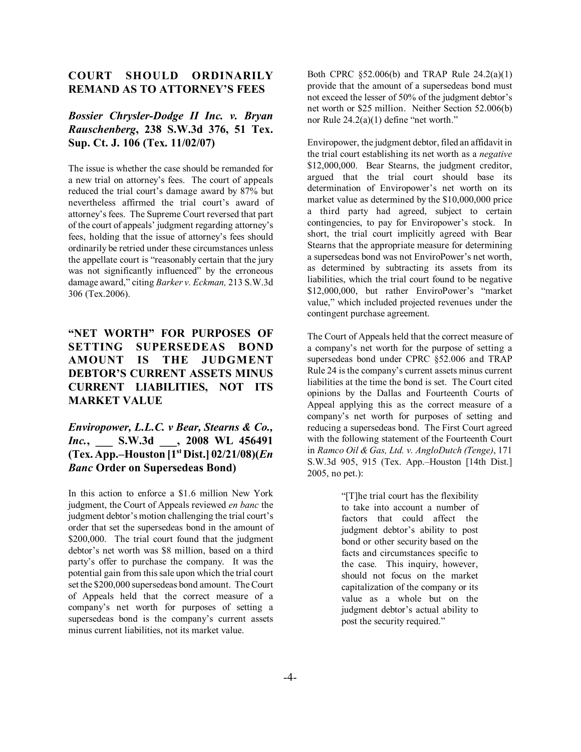#### **COURT SHOULD ORDINARILY REMAND AS TO ATTORNEY'S FEES**

## *Bossier Chrysler-Dodge II Inc. v. Bryan Rauschenberg***, 238 S.W.3d 376, 51 Tex. Sup. Ct. J. 106 (Tex. 11/02/07)**

The issue is whether the case should be remanded for a new trial on attorney's fees. The court of appeals reduced the trial court's damage award by 87% but nevertheless affirmed the trial court's award of attorney's fees. The Supreme Court reversed that part of the court of appeals' judgment regarding attorney's fees, holding that the issue of attorney's fees should ordinarily be retried under these circumstances unless the appellate court is "reasonably certain that the jury was not significantly influenced" by the erroneous damage award," citing *Barker v. Eckman*, 213 S.W.3d 306 (Tex.2006).

# **"NET WORTH" FOR PURPOSES OF SETTING SUPERSEDEAS BOND AMOUNT IS THE JUDGMENT DEBTOR'S CURRENT ASSETS MINUS CURRENT LIABILITIES, NOT ITS MARKET VALUE**

### *Enviropower, L.L.C. v Bear, Stearns & Co., Inc.***, \_\_\_ S.W.3d \_\_\_, 2008 WL 456491 (Tex. App.ñHouston [1st Dist.] 02/21/08)(***En Banc* **Order on Supersedeas Bond)**

In this action to enforce a \$1.6 million New York judgment, the Court of Appeals reviewed *en banc* the judgment debtor's motion challenging the trial court's order that set the supersedeas bond in the amount of \$200,000. The trial court found that the judgment debtor's net worth was \$8 million, based on a third party's offer to purchase the company. It was the potential gain from this sale upon which the trial court set the \$200,000 supersedeas bond amount. The Court of Appeals held that the correct measure of a companyís net worth for purposes of setting a supersedeas bond is the company's current assets minus current liabilities, not its market value.

Both CPRC ß52.006(b) and TRAP Rule 24.2(a)(1) provide that the amount of a supersedeas bond must not exceed the lesser of 50% of the judgment debtor's net worth or \$25 million. Neither Section 52.006(b) nor Rule  $24.2(a)(1)$  define "net worth."

Enviropower, the judgment debtor, filed an affidavit in the trial court establishing its net worth as a *negative* \$12,000,000. Bear Stearns, the judgment creditor, argued that the trial court should base its determination of Enviropower's net worth on its market value as determined by the \$10,000,000 price a third party had agreed, subject to certain contingencies, to pay for Enviropower's stock. In short, the trial court implicitly agreed with Bear Stearns that the appropriate measure for determining a supersedeas bond was not EnviroPower's net worth, as determined by subtracting its assets from its liabilities, which the trial court found to be negative \$12,000,000, but rather EnviroPower's "market value," which included projected revenues under the contingent purchase agreement.

The Court of Appeals held that the correct measure of a company's net worth for the purpose of setting a supersedeas bond under CPRC ß52.006 and TRAP Rule 24 is the company's current assets minus current liabilities at the time the bond is set. The Court cited opinions by the Dallas and Fourteenth Courts of Appeal applying this as the correct measure of a company's net worth for purposes of setting and reducing a supersedeas bond. The First Court agreed with the following statement of the Fourteenth Court in *Ramco Oil & Gas, Ltd. v. AngloDutch (Tenge)*, 171 S.W.3d 905, 915 (Tex. App.–Houston [14th Dist.] 2005, no pet.):

> ì[T]he trial court has the flexibility to take into account a number of factors that could affect the judgment debtor's ability to post bond or other security based on the facts and circumstances specific to the case. This inquiry, however, should not focus on the market capitalization of the company or its value as a whole but on the judgment debtor's actual ability to post the security required."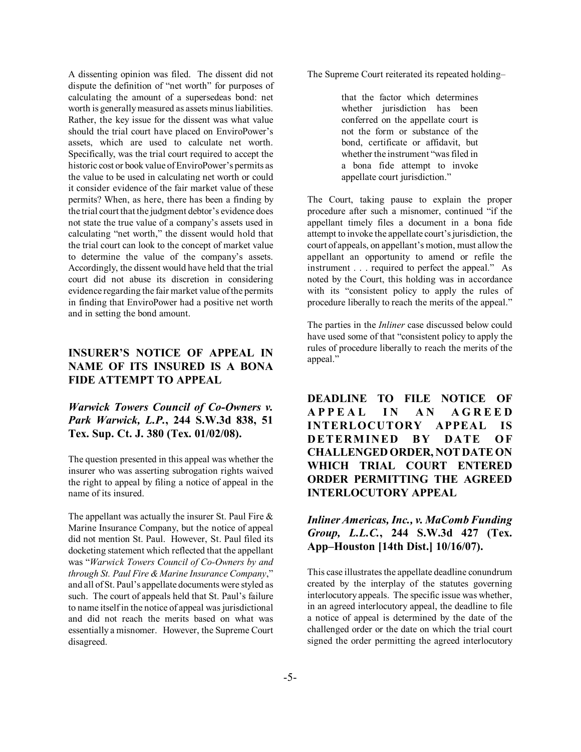A dissenting opinion was filed. The dissent did not dispute the definition of "net worth" for purposes of calculating the amount of a supersedeas bond: net worth is generally measured as assets minus liabilities. Rather, the key issue for the dissent was what value should the trial court have placed on EnviroPower's assets, which are used to calculate net worth. Specifically, was the trial court required to accept the historic cost or book value of EnviroPower's permits as the value to be used in calculating net worth or could it consider evidence of the fair market value of these permits? When, as here, there has been a finding by the trial court that the judgment debtor's evidence does not state the true value of a company's assets used in calculating "net worth," the dissent would hold that the trial court can look to the concept of market value to determine the value of the company's assets. Accordingly, the dissent would have held that the trial court did not abuse its discretion in considering evidence regarding the fair market value of the permits in finding that EnviroPower had a positive net worth and in setting the bond amount.

# **INSURER'S NOTICE OF APPEAL IN NAME OF ITS INSURED IS A BONA FIDE ATTEMPT TO APPEAL**

#### *Warwick Towers Council of Co-Owners v. Park Warwick, L.P.***, 244 S.W.3d 838, 51 Tex. Sup. Ct. J. 380 (Tex. 01/02/08).**

The question presented in this appeal was whether the insurer who was asserting subrogation rights waived the right to appeal by filing a notice of appeal in the name of its insured.

The appellant was actually the insurer St. Paul Fire  $\&$ Marine Insurance Company, but the notice of appeal did not mention St. Paul. However, St. Paul filed its docketing statement which reflected that the appellant was ì*Warwick Towers Council of Co-Owners by and through St. Paul Fire & Marine Insurance Company*," and all of St. Paul's appellate documents were styled as such. The court of appeals held that St. Paul's failure to name itself in the notice of appeal was jurisdictional and did not reach the merits based on what was essentially a misnomer. However, the Supreme Court disagreed.

The Supreme Court reiterated its repeated holding-

that the factor which determines whether jurisdiction has been conferred on the appellate court is not the form or substance of the bond, certificate or affidavit, but whether the instrument "was filed in a bona fide attempt to invoke appellate court jurisdiction."

The Court, taking pause to explain the proper procedure after such a misnomer, continued "if the appellant timely files a document in a bona fide attempt to invoke the appellate court's jurisdiction, the court of appeals, on appellant's motion, must allow the appellant an opportunity to amend or refile the instrument  $\ldots$  required to perfect the appeal." As noted by the Court, this holding was in accordance with its "consistent policy to apply the rules of procedure liberally to reach the merits of the appeal."

The parties in the *Inliner* case discussed below could have used some of that "consistent policy to apply the rules of procedure liberally to reach the merits of the appeal."

**DEADLINE TO FILE NOTICE OF APPEAL IN AN AGREED INTERLOCUTORY APPEAL IS DETERMINED BY DATE OF CHALLENGED ORDER, NOT DATE ON WHICH TRIAL COURT ENTERED ORDER PERMITTING THE AGREED INTERLOCUTORY APPEAL**

## *Inliner Americas, Inc., v. MaComb Funding Group, L.L.C.***, 244 S.W.3d 427 (Tex.** App–Houston [14th Dist.] 10/16/07).

This case illustrates the appellate deadline conundrum created by the interplay of the statutes governing interlocutory appeals. The specific issue was whether, in an agreed interlocutory appeal, the deadline to file a notice of appeal is determined by the date of the challenged order or the date on which the trial court signed the order permitting the agreed interlocutory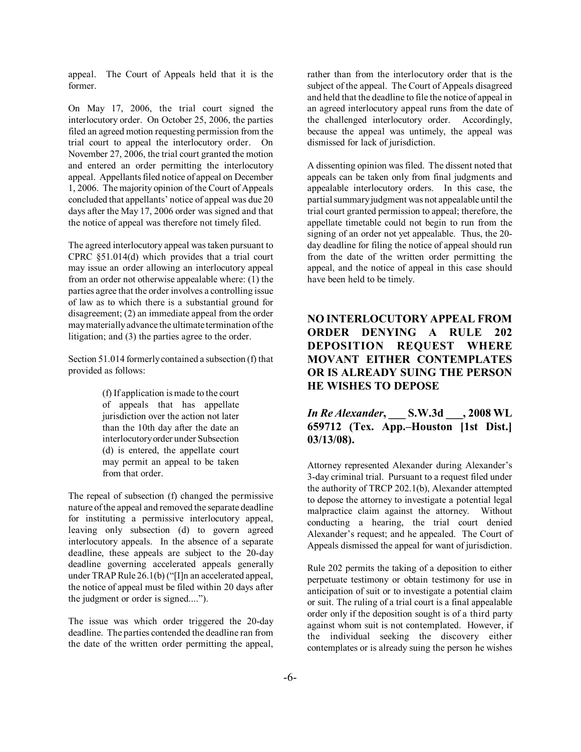appeal. The Court of Appeals held that it is the former.

On May 17, 2006, the trial court signed the interlocutory order. On October 25, 2006, the parties filed an agreed motion requesting permission from the trial court to appeal the interlocutory order. On November 27, 2006, the trial court granted the motion and entered an order permitting the interlocutory appeal. Appellants filed notice of appeal on December 1, 2006. The majority opinion of the Court of Appeals concluded that appellants' notice of appeal was due 20 days after the May 17, 2006 order was signed and that the notice of appeal was therefore not timely filed.

The agreed interlocutory appeal was taken pursuant to CPRC ß51.014(d) which provides that a trial court may issue an order allowing an interlocutory appeal from an order not otherwise appealable where: (1) the parties agree that the order involves a controlling issue of law as to which there is a substantial ground for disagreement; (2) an immediate appeal from the order may materially advance the ultimate termination of the litigation; and (3) the parties agree to the order.

Section 51.014 formerly contained a subsection (f) that provided as follows:

> (f) If application is made to the court of appeals that has appellate jurisdiction over the action not later than the 10th day after the date an interlocutory order under Subsection (d) is entered, the appellate court may permit an appeal to be taken from that order.

The repeal of subsection (f) changed the permissive nature of the appeal and removed the separate deadline for instituting a permissive interlocutory appeal, leaving only subsection (d) to govern agreed interlocutory appeals. In the absence of a separate deadline, these appeals are subject to the 20-day deadline governing accelerated appeals generally under TRAP Rule  $26.1(b)$  ("[I]n an accelerated appeal, the notice of appeal must be filed within 20 days after the judgment or order is signed....").

The issue was which order triggered the 20-day deadline. The parties contended the deadline ran from the date of the written order permitting the appeal, rather than from the interlocutory order that is the subject of the appeal. The Court of Appeals disagreed and held that the deadline to file the notice of appeal in an agreed interlocutory appeal runs from the date of the challenged interlocutory order. Accordingly, because the appeal was untimely, the appeal was dismissed for lack of jurisdiction.

A dissenting opinion was filed. The dissent noted that appeals can be taken only from final judgments and appealable interlocutory orders. In this case, the partial summary judgment was not appealable until the trial court granted permission to appeal; therefore, the appellate timetable could not begin to run from the signing of an order not yet appealable. Thus, the 20 day deadline for filing the notice of appeal should run from the date of the written order permitting the appeal, and the notice of appeal in this case should have been held to be timely.

# **NO INTERLOCUTORY APPEAL FROM ORDER DENYING A RULE 202 DEPOSITION REQUEST WHERE MOVANT EITHER CONTEMPLATES OR IS ALREADY SUING THE PERSON HE WISHES TO DEPOSE**

# *In Re Alexander***, \_\_\_ S.W.3d \_\_\_, 2008 WL 659712** (Tex. App.–Houston [1st Dist.] **03/13/08).**

Attorney represented Alexander during Alexander's 3-day criminal trial. Pursuant to a request filed under the authority of TRCP 202.1(b), Alexander attempted to depose the attorney to investigate a potential legal malpractice claim against the attorney. Without conducting a hearing, the trial court denied Alexander's request; and he appealed. The Court of Appeals dismissed the appeal for want of jurisdiction.

Rule 202 permits the taking of a deposition to either perpetuate testimony or obtain testimony for use in anticipation of suit or to investigate a potential claim or suit. The ruling of a trial court is a final appealable order only if the deposition sought is of a third party against whom suit is not contemplated. However, if the individual seeking the discovery either contemplates or is already suing the person he wishes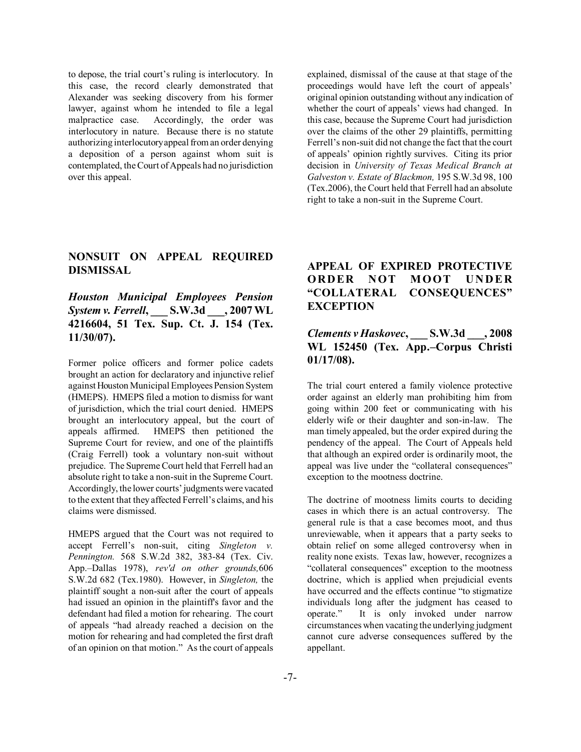to depose, the trial court's ruling is interlocutory. In this case, the record clearly demonstrated that Alexander was seeking discovery from his former lawyer, against whom he intended to file a legal malpractice case. Accordingly, the order was interlocutory in nature. Because there is no statute authorizing interlocutory appeal from an order denying a deposition of a person against whom suit is contemplated, the Court of Appeals had no jurisdiction over this appeal.

explained, dismissal of the cause at that stage of the proceedings would have left the court of appeals' original opinion outstanding without any indication of whether the court of appeals' views had changed. In this case, because the Supreme Court had jurisdiction over the claims of the other 29 plaintiffs, permitting Ferrell's non-suit did not change the fact that the court of appealsí opinion rightly survives. Citing its prior decision in *University of Texas Medical Branch at Galveston v. Estate of Blackmon,* 195 S.W.3d 98, 100 (Tex.2006), the Court held that Ferrell had an absolute right to take a non-suit in the Supreme Court.

# **NONSUIT ON APPEAL REQUIRED DISMISSAL**

*Houston Municipal Employees Pension System v. Ferrell***, \_\_\_ S.W.3d \_\_\_, 2007 WL 4216604, 51 Tex. Sup. Ct. J. 154 (Tex. 11/30/07).**

Former police officers and former police cadets brought an action for declaratory and injunctive relief against Houston Municipal Employees Pension System (HMEPS). HMEPS filed a motion to dismiss for want of jurisdiction, which the trial court denied. HMEPS brought an interlocutory appeal, but the court of appeals affirmed. HMEPS then petitioned the Supreme Court for review, and one of the plaintiffs (Craig Ferrell) took a voluntary non-suit without prejudice. The Supreme Court held that Ferrell had an absolute right to take a non-suit in the Supreme Court. Accordingly, the lower courts' judgments were vacated to the extent that they affected Ferrell's claims, and his claims were dismissed.

HMEPS argued that the Court was not required to accept Ferrell's non-suit, citing *Singleton v. Pennington.* 568 S.W.2d 382, 383-84 (Tex. Civ. App.-Dallas 1978), *rev'd on other grounds*,606 S.W.2d 682 (Tex.1980). However, in *Singleton,* the plaintiff sought a non-suit after the court of appeals had issued an opinion in the plaintiff's favor and the defendant had filed a motion for rehearing. The court of appeals "had already reached a decision on the motion for rehearing and had completed the first draft of an opinion on that motion." As the court of appeals

## **APPEAL OF EXPIRED PROTECTIVE ORDER NOT MOOT UNDER ìCOLLATERAL CONSEQUENCESî EXCEPTION**

# *Clements v Haskovec***, \_\_\_ S.W.3d \_\_\_, 2008** WL 152450 (Tex. App.–Corpus Christi **01/17/08).**

The trial court entered a family violence protective order against an elderly man prohibiting him from going within 200 feet or communicating with his elderly wife or their daughter and son-in-law. The man timely appealed, but the order expired during the pendency of the appeal. The Court of Appeals held that although an expired order is ordinarily moot, the appeal was live under the "collateral consequences" exception to the mootness doctrine.

The doctrine of mootness limits courts to deciding cases in which there is an actual controversy. The general rule is that a case becomes moot, and thus unreviewable, when it appears that a party seeks to obtain relief on some alleged controversy when in reality none exists. Texas law, however, recognizes a "collateral consequences" exception to the mootness doctrine, which is applied when prejudicial events have occurred and the effects continue "to stigmatize individuals long after the judgment has ceased to operate." It is only invoked under narrow circumstances when vacating the underlying judgment cannot cure adverse consequences suffered by the appellant.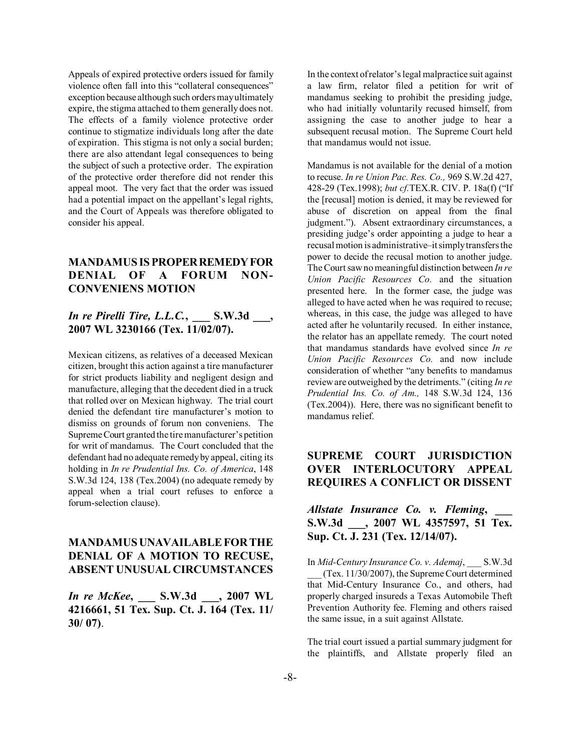Appeals of expired protective orders issued for family violence often fall into this "collateral consequences" exception because although such orders may ultimately expire, the stigma attached to them generally does not. The effects of a family violence protective order continue to stigmatize individuals long after the date of expiration. This stigma is not only a social burden; there are also attendant legal consequences to being the subject of such a protective order. The expiration of the protective order therefore did not render this appeal moot. The very fact that the order was issued had a potential impact on the appellant's legal rights, and the Court of Appeals was therefore obligated to consider his appeal.

# **MANDAMUS IS PROPER REMEDY FOR DENIAL OF A FORUM NON-CONVENIENS MOTION**

### *In re Pirelli Tire, L.L.C.***, \_\_\_ S.W.3d \_\_\_, 2007 WL 3230166 (Tex. 11/02/07).**

Mexican citizens, as relatives of a deceased Mexican citizen, brought this action against a tire manufacturer for strict products liability and negligent design and manufacture, alleging that the decedent died in a truck that rolled over on Mexican highway. The trial court denied the defendant tire manufacturer's motion to dismiss on grounds of forum non conveniens. The Supreme Court granted the tire manufacturer's petition for writ of mandamus. The Court concluded that the defendant had no adequate remedy by appeal, citing its holding in *In re Prudential Ins. Co. of America*, 148 S.W.3d 124, 138 (Tex.2004) (no adequate remedy by appeal when a trial court refuses to enforce a forum-selection clause).

## **MANDAMUS UNAVAILABLE FOR THE DENIAL OF A MOTION TO RECUSE, ABSENT UNUSUAL CIRCUMSTANCES**

*In re McKee***, \_\_\_ S.W.3d \_\_\_, 2007 WL 4216661, 51 Tex. Sup. Ct. J. 164 (Tex. 11/ 30/ 07)**.

In the context of relator's legal malpractice suit against a law firm, relator filed a petition for writ of mandamus seeking to prohibit the presiding judge, who had initially voluntarily recused himself, from assigning the case to another judge to hear a subsequent recusal motion. The Supreme Court held that mandamus would not issue.

Mandamus is not available for the denial of a motion to recuse. *In re Union Pac. Res. Co.,* 969 S.W.2d 427, 428-29 (Tex.1998); *but cf*.TEX.R. CIV. P. 18a(f) ("If the [recusal] motion is denied, it may be reviewed for abuse of discretion on appeal from the final judgment."). Absent extraordinary circumstances, a presiding judge's order appointing a judge to hear a recusal motion is administrative-it simply transfers the power to decide the recusal motion to another judge. The Court saw no meaningful distinction between *In re Union Pacific Resources Co.* and the situation presented here. In the former case, the judge was alleged to have acted when he was required to recuse; whereas, in this case, the judge was alleged to have acted after he voluntarily recused. In either instance, the relator has an appellate remedy. The court noted that mandamus standards have evolved since *In re Union Pacific Resources Co.* and now include consideration of whether "any benefits to mandamus review are outweighed by the detriments." (citing *In re Prudential Ins. Co. of Am.,* 148 S.W.3d 124, 136 (Tex.2004)). Here, there was no significant benefit to mandamus relief.

# **SUPREME COURT JURISDICTION OVER INTERLOCUTORY APPEAL REQUIRES A CONFLICT OR DISSENT**

### *Allstate Insurance Co. v. Fleming***, \_\_\_ S.W.3d \_\_\_, 2007 WL 4357597, 51 Tex. Sup. Ct. J. 231 (Tex. 12/14/07).**

In *Mid-Century Insurance Co. v. Ademaj*, \_\_\_ S.W.3d \_\_\_ (Tex. 11/30/2007), the Supreme Court determined that Mid-Century Insurance Co., and others, had properly charged insureds a Texas Automobile Theft Prevention Authority fee. Fleming and others raised the same issue, in a suit against Allstate.

The trial court issued a partial summary judgment for the plaintiffs, and Allstate properly filed an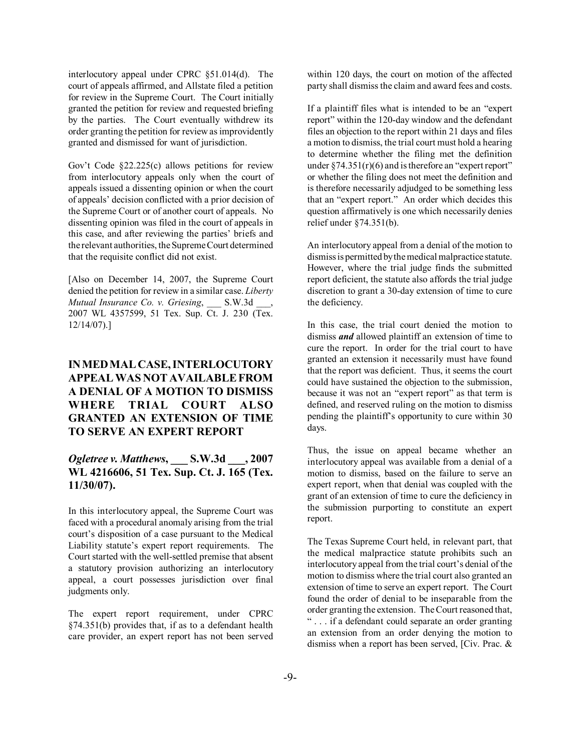interlocutory appeal under CPRC ß51.014(d). The court of appeals affirmed, and Allstate filed a petition for review in the Supreme Court. The Court initially granted the petition for review and requested briefing by the parties. The Court eventually withdrew its order granting the petition for review as improvidently granted and dismissed for want of jurisdiction.

Gov't Code  $\S22.225(c)$  allows petitions for review from interlocutory appeals only when the court of appeals issued a dissenting opinion or when the court of appeals' decision conflicted with a prior decision of the Supreme Court or of another court of appeals. No dissenting opinion was filed in the court of appeals in this case, and after reviewing the parties' briefs and the relevant authorities, the Supreme Court determined that the requisite conflict did not exist.

[Also on December 14, 2007, the Supreme Court denied the petition for review in a similar case. *Liberty Mutual Insurance Co. v. Griesing*, \_\_\_ S.W.3d \_\_\_, 2007 WL 4357599, 51 Tex. Sup. Ct. J. 230 (Tex. 12/14/07).]

# **IN MED MAL CASE, INTERLOCUTORY APPEAL WAS NOT AVAILABLE FROM A DENIAL OF A MOTION TO DISMISS WHERE TRIAL COURT ALSO GRANTED AN EXTENSION OF TIME TO SERVE AN EXPERT REPORT**

# *Ogletree v. Matthews***, \_\_\_ S.W.3d \_\_\_, 2007 WL 4216606, 51 Tex. Sup. Ct. J. 165 (Tex. 11/30/07).**

In this interlocutory appeal, the Supreme Court was faced with a procedural anomaly arising from the trial court's disposition of a case pursuant to the Medical Liability statute's expert report requirements. The Court started with the well-settled premise that absent a statutory provision authorizing an interlocutory appeal, a court possesses jurisdiction over final judgments only.

The expert report requirement, under CPRC ß74.351(b) provides that, if as to a defendant health care provider, an expert report has not been served within 120 days, the court on motion of the affected party shall dismiss the claim and award fees and costs.

If a plaintiff files what is intended to be an "expert report" within the 120-day window and the defendant files an objection to the report within 21 days and files a motion to dismiss, the trial court must hold a hearing to determine whether the filing met the definition under  $\S 74.351(r)(6)$  and is therefore an "expert report" or whether the filing does not meet the definition and is therefore necessarily adjudged to be something less that an "expert report." An order which decides this question affirmatively is one which necessarily denies relief under ß74.351(b).

An interlocutory appeal from a denial of the motion to dismiss is permitted by the medical malpractice statute. However, where the trial judge finds the submitted report deficient, the statute also affords the trial judge discretion to grant a 30-day extension of time to cure the deficiency.

In this case, the trial court denied the motion to dismiss *and* allowed plaintiff an extension of time to cure the report. In order for the trial court to have granted an extension it necessarily must have found that the report was deficient. Thus, it seems the court could have sustained the objection to the submission, because it was not an "expert report" as that term is defined, and reserved ruling on the motion to dismiss pending the plaintiff's opportunity to cure within 30 days.

Thus, the issue on appeal became whether an interlocutory appeal was available from a denial of a motion to dismiss, based on the failure to serve an expert report, when that denial was coupled with the grant of an extension of time to cure the deficiency in the submission purporting to constitute an expert report.

The Texas Supreme Court held, in relevant part, that the medical malpractice statute prohibits such an interlocutory appeal from the trial court's denial of the motion to dismiss where the trial court also granted an extension of time to serve an expert report. The Court found the order of denial to be inseparable from the order granting the extension. The Court reasoned that, ì . . . if a defendant could separate an order granting an extension from an order denying the motion to dismiss when a report has been served, [Civ. Prac. &